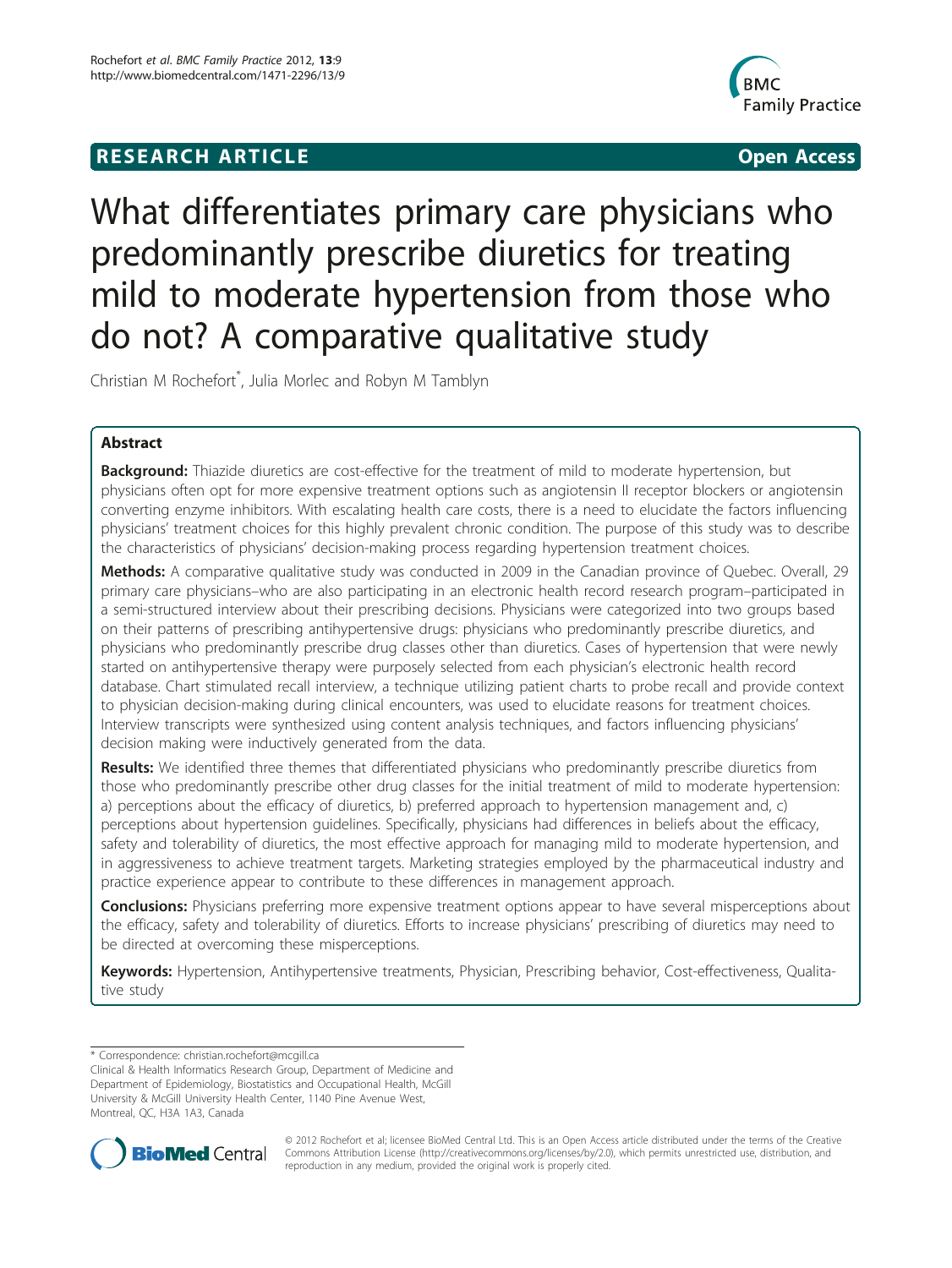# **RESEARCH ARTICLE Example 2018 12:00 Department of the CODE CODE Access**



# What differentiates primary care physicians who predominantly prescribe diuretics for treating mild to moderate hypertension from those who do not? A comparative qualitative study

Christian M Rochefort\* , Julia Morlec and Robyn M Tamblyn

# Abstract

**Background:** Thiazide diuretics are cost-effective for the treatment of mild to moderate hypertension, but physicians often opt for more expensive treatment options such as angiotensin II receptor blockers or angiotensin converting enzyme inhibitors. With escalating health care costs, there is a need to elucidate the factors influencing physicians' treatment choices for this highly prevalent chronic condition. The purpose of this study was to describe the characteristics of physicians' decision-making process regarding hypertension treatment choices.

Methods: A comparative qualitative study was conducted in 2009 in the Canadian province of Quebec. Overall, 29 primary care physicians–who are also participating in an electronic health record research program–participated in a semi-structured interview about their prescribing decisions. Physicians were categorized into two groups based on their patterns of prescribing antihypertensive drugs: physicians who predominantly prescribe diuretics, and physicians who predominantly prescribe drug classes other than diuretics. Cases of hypertension that were newly started on antihypertensive therapy were purposely selected from each physician's electronic health record database. Chart stimulated recall interview, a technique utilizing patient charts to probe recall and provide context to physician decision-making during clinical encounters, was used to elucidate reasons for treatment choices. Interview transcripts were synthesized using content analysis techniques, and factors influencing physicians' decision making were inductively generated from the data.

Results: We identified three themes that differentiated physicians who predominantly prescribe diuretics from those who predominantly prescribe other drug classes for the initial treatment of mild to moderate hypertension: a) perceptions about the efficacy of diuretics, b) preferred approach to hypertension management and, c) perceptions about hypertension guidelines. Specifically, physicians had differences in beliefs about the efficacy, safety and tolerability of diuretics, the most effective approach for managing mild to moderate hypertension, and in aggressiveness to achieve treatment targets. Marketing strategies employed by the pharmaceutical industry and practice experience appear to contribute to these differences in management approach.

**Conclusions:** Physicians preferring more expensive treatment options appear to have several misperceptions about the efficacy, safety and tolerability of diuretics. Efforts to increase physicians' prescribing of diuretics may need to be directed at overcoming these misperceptions.

Keywords: Hypertension, Antihypertensive treatments, Physician, Prescribing behavior, Cost-effectiveness, Qualitative study

\* Correspondence: [christian.rochefort@mcgill.ca](mailto:christian.rochefort@mcgill.ca)

Clinical & Health Informatics Research Group, Department of Medicine and Department of Epidemiology, Biostatistics and Occupational Health, McGill University & McGill University Health Center, 1140 Pine Avenue West, Montreal, QC, H3A 1A3, Canada



© 2012 Rochefort et al; licensee BioMed Central Ltd. This is an Open Access article distributed under the terms of the Creative Commons Attribution License [\(http://creativecommons.org/licenses/by/2.0](http://creativecommons.org/licenses/by/2.0)), which permits unrestricted use, distribution, and reproduction in any medium, provided the original work is properly cited.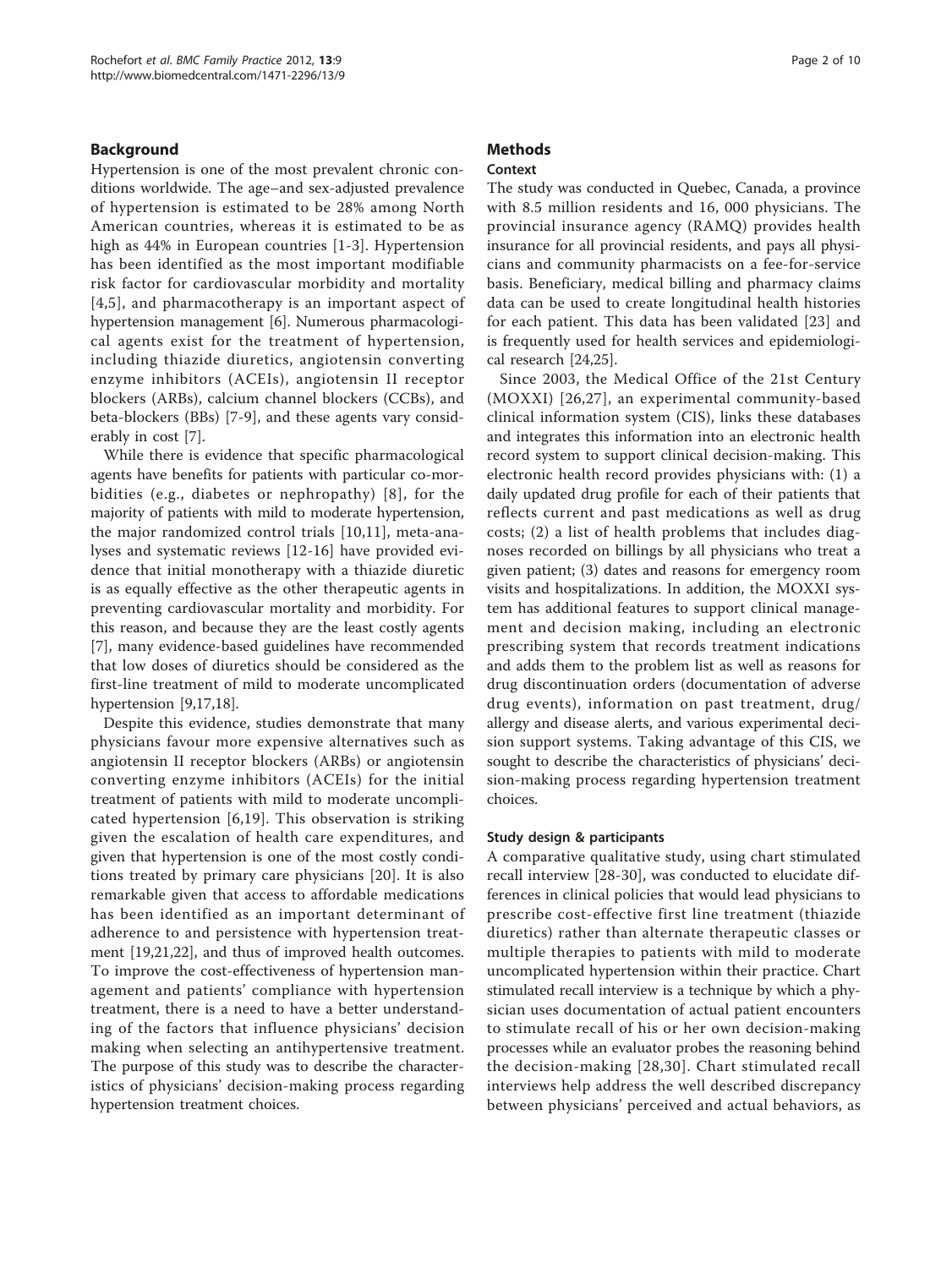# Background

Hypertension is one of the most prevalent chronic conditions worldwide. The age–and sex-adjusted prevalence of hypertension is estimated to be 28% among North American countries, whereas it is estimated to be as high as 44% in European countries [\[1-3](#page-7-0)]. Hypertension has been identified as the most important modifiable risk factor for cardiovascular morbidity and mortality [[4](#page-7-0),[5\]](#page-7-0), and pharmacotherapy is an important aspect of hypertension management [[6\]](#page-7-0). Numerous pharmacological agents exist for the treatment of hypertension, including thiazide diuretics, angiotensin converting enzyme inhibitors (ACEIs), angiotensin II receptor blockers (ARBs), calcium channel blockers (CCBs), and beta-blockers (BBs) [\[7](#page-7-0)-[9\]](#page-8-0), and these agents vary considerably in cost [\[7](#page-7-0)].

While there is evidence that specific pharmacological agents have benefits for patients with particular co-morbidities (e.g., diabetes or nephropathy) [[8\]](#page-7-0), for the majority of patients with mild to moderate hypertension, the major randomized control trials [\[10](#page-8-0),[11\]](#page-8-0), meta-analyses and systematic reviews [\[12](#page-8-0)-[16](#page-8-0)] have provided evidence that initial monotherapy with a thiazide diuretic is as equally effective as the other therapeutic agents in preventing cardiovascular mortality and morbidity. For this reason, and because they are the least costly agents [[7\]](#page-7-0), many evidence-based guidelines have recommended that low doses of diuretics should be considered as the first-line treatment of mild to moderate uncomplicated hypertension [[9,17](#page-8-0),[18](#page-8-0)].

Despite this evidence, studies demonstrate that many physicians favour more expensive alternatives such as angiotensin II receptor blockers (ARBs) or angiotensin converting enzyme inhibitors (ACEIs) for the initial treatment of patients with mild to moderate uncomplicated hypertension [[6](#page-7-0),[19\]](#page-8-0). This observation is striking given the escalation of health care expenditures, and given that hypertension is one of the most costly conditions treated by primary care physicians [[20\]](#page-8-0). It is also remarkable given that access to affordable medications has been identified as an important determinant of adherence to and persistence with hypertension treatment [\[19,21](#page-8-0),[22](#page-8-0)], and thus of improved health outcomes. To improve the cost-effectiveness of hypertension management and patients' compliance with hypertension treatment, there is a need to have a better understanding of the factors that influence physicians' decision making when selecting an antihypertensive treatment. The purpose of this study was to describe the characteristics of physicians' decision-making process regarding hypertension treatment choices.

# Methods

# Context

The study was conducted in Quebec, Canada, a province with 8.5 million residents and 16, 000 physicians. The provincial insurance agency (RAMQ) provides health insurance for all provincial residents, and pays all physicians and community pharmacists on a fee-for-service basis. Beneficiary, medical billing and pharmacy claims data can be used to create longitudinal health histories for each patient. This data has been validated [\[23\]](#page-8-0) and is frequently used for health services and epidemiological research [[24,25](#page-8-0)].

Since 2003, the Medical Office of the 21st Century (MOXXI) [[26](#page-8-0),[27](#page-8-0)], an experimental community-based clinical information system (CIS), links these databases and integrates this information into an electronic health record system to support clinical decision-making. This electronic health record provides physicians with: (1) a daily updated drug profile for each of their patients that reflects current and past medications as well as drug costs; (2) a list of health problems that includes diagnoses recorded on billings by all physicians who treat a given patient; (3) dates and reasons for emergency room visits and hospitalizations. In addition, the MOXXI system has additional features to support clinical management and decision making, including an electronic prescribing system that records treatment indications and adds them to the problem list as well as reasons for drug discontinuation orders (documentation of adverse drug events), information on past treatment, drug/ allergy and disease alerts, and various experimental decision support systems. Taking advantage of this CIS, we sought to describe the characteristics of physicians' decision-making process regarding hypertension treatment choices.

# Study design & participants

A comparative qualitative study, using chart stimulated recall interview [\[28](#page-8-0)-[30\]](#page-8-0), was conducted to elucidate differences in clinical policies that would lead physicians to prescribe cost-effective first line treatment (thiazide diuretics) rather than alternate therapeutic classes or multiple therapies to patients with mild to moderate uncomplicated hypertension within their practice. Chart stimulated recall interview is a technique by which a physician uses documentation of actual patient encounters to stimulate recall of his or her own decision-making processes while an evaluator probes the reasoning behind the decision-making [[28](#page-8-0),[30](#page-8-0)]. Chart stimulated recall interviews help address the well described discrepancy between physicians' perceived and actual behaviors, as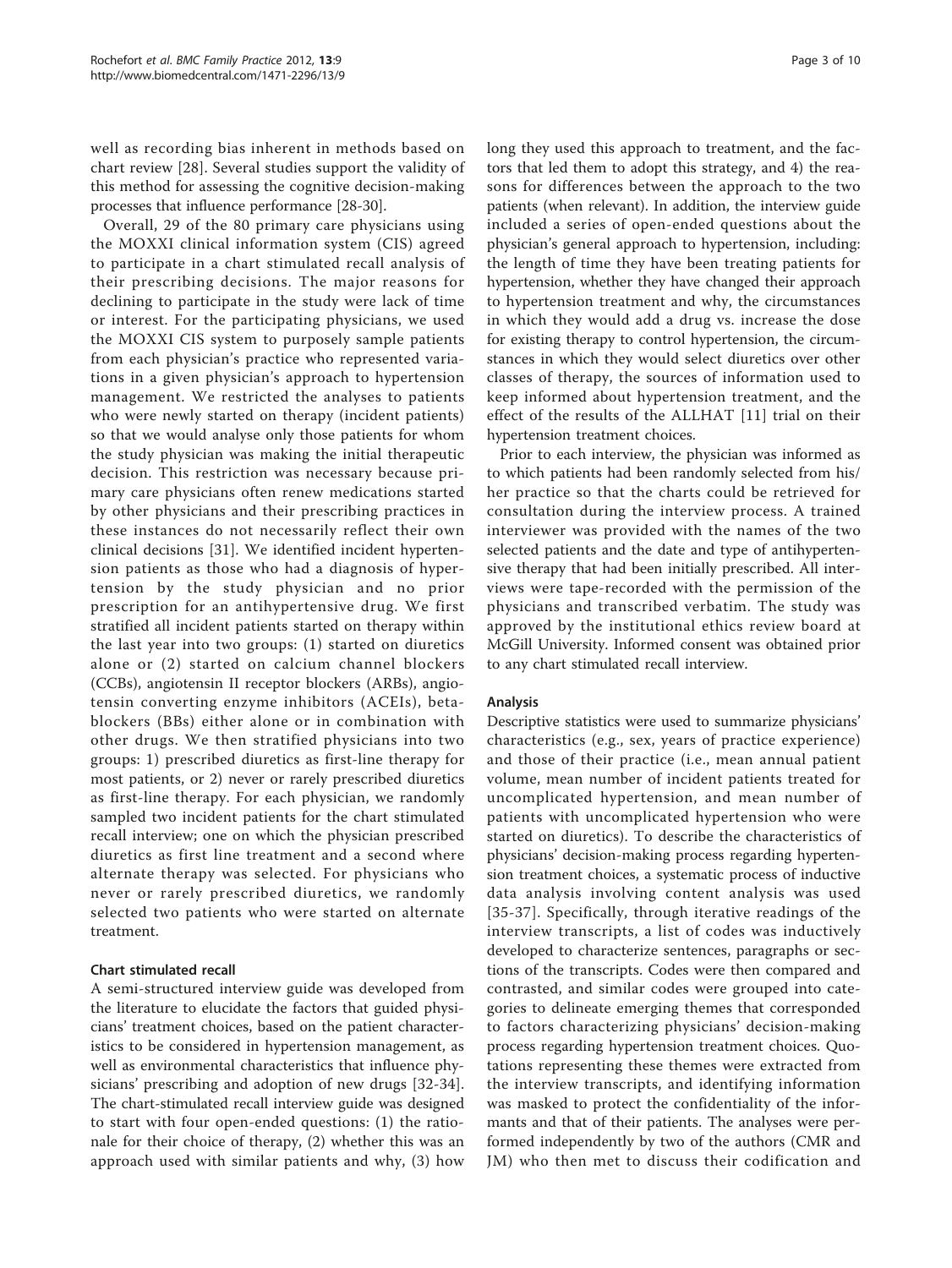well as recording bias inherent in methods based on chart review [[28\]](#page-8-0). Several studies support the validity of this method for assessing the cognitive decision-making processes that influence performance [[28](#page-8-0)-[30\]](#page-8-0).

Overall, 29 of the 80 primary care physicians using the MOXXI clinical information system (CIS) agreed to participate in a chart stimulated recall analysis of their prescribing decisions. The major reasons for declining to participate in the study were lack of time or interest. For the participating physicians, we used the MOXXI CIS system to purposely sample patients from each physician's practice who represented variations in a given physician's approach to hypertension management. We restricted the analyses to patients who were newly started on therapy (incident patients) so that we would analyse only those patients for whom the study physician was making the initial therapeutic decision. This restriction was necessary because primary care physicians often renew medications started by other physicians and their prescribing practices in these instances do not necessarily reflect their own clinical decisions [\[31](#page-8-0)]. We identified incident hypertension patients as those who had a diagnosis of hypertension by the study physician and no prior prescription for an antihypertensive drug. We first stratified all incident patients started on therapy within the last year into two groups: (1) started on diuretics alone or (2) started on calcium channel blockers (CCBs), angiotensin II receptor blockers (ARBs), angiotensin converting enzyme inhibitors (ACEIs), betablockers (BBs) either alone or in combination with other drugs. We then stratified physicians into two groups: 1) prescribed diuretics as first-line therapy for most patients, or 2) never or rarely prescribed diuretics as first-line therapy. For each physician, we randomly sampled two incident patients for the chart stimulated recall interview; one on which the physician prescribed diuretics as first line treatment and a second where alternate therapy was selected. For physicians who never or rarely prescribed diuretics, we randomly selected two patients who were started on alternate treatment.

# Chart stimulated recall

A semi-structured interview guide was developed from the literature to elucidate the factors that guided physicians' treatment choices, based on the patient characteristics to be considered in hypertension management, as well as environmental characteristics that influence physicians' prescribing and adoption of new drugs [\[32](#page-8-0)-[34](#page-8-0)]. The chart-stimulated recall interview guide was designed to start with four open-ended questions: (1) the rationale for their choice of therapy, (2) whether this was an approach used with similar patients and why, (3) how long they used this approach to treatment, and the factors that led them to adopt this strategy, and 4) the reasons for differences between the approach to the two patients (when relevant). In addition, the interview guide included a series of open-ended questions about the physician's general approach to hypertension, including: the length of time they have been treating patients for hypertension, whether they have changed their approach to hypertension treatment and why, the circumstances in which they would add a drug vs. increase the dose for existing therapy to control hypertension, the circumstances in which they would select diuretics over other classes of therapy, the sources of information used to keep informed about hypertension treatment, and the effect of the results of the ALLHAT [[11\]](#page-8-0) trial on their hypertension treatment choices.

Prior to each interview, the physician was informed as to which patients had been randomly selected from his/ her practice so that the charts could be retrieved for consultation during the interview process. A trained interviewer was provided with the names of the two selected patients and the date and type of antihypertensive therapy that had been initially prescribed. All interviews were tape-recorded with the permission of the physicians and transcribed verbatim. The study was approved by the institutional ethics review board at McGill University. Informed consent was obtained prior to any chart stimulated recall interview.

#### Analysis

Descriptive statistics were used to summarize physicians' characteristics (e.g., sex, years of practice experience) and those of their practice (i.e., mean annual patient volume, mean number of incident patients treated for uncomplicated hypertension, and mean number of patients with uncomplicated hypertension who were started on diuretics). To describe the characteristics of physicians' decision-making process regarding hypertension treatment choices, a systematic process of inductive data analysis involving content analysis was used [[35-37\]](#page-8-0). Specifically, through iterative readings of the interview transcripts, a list of codes was inductively developed to characterize sentences, paragraphs or sections of the transcripts. Codes were then compared and contrasted, and similar codes were grouped into categories to delineate emerging themes that corresponded to factors characterizing physicians' decision-making process regarding hypertension treatment choices. Quotations representing these themes were extracted from the interview transcripts, and identifying information was masked to protect the confidentiality of the informants and that of their patients. The analyses were performed independently by two of the authors (CMR and JM) who then met to discuss their codification and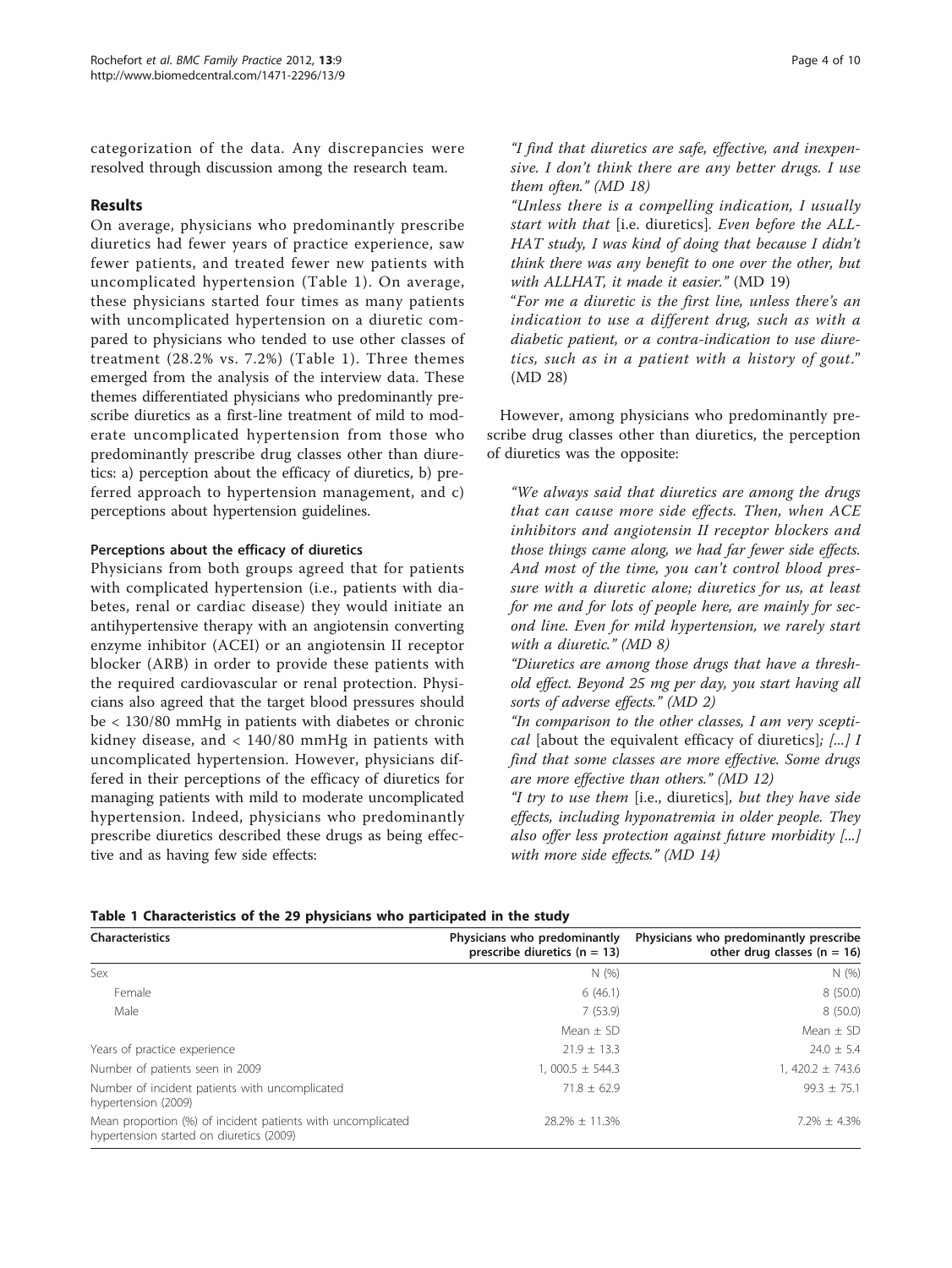categorization of the data. Any discrepancies were resolved through discussion among the research team.

# Results

On average, physicians who predominantly prescribe diuretics had fewer years of practice experience, saw fewer patients, and treated fewer new patients with uncomplicated hypertension (Table 1). On average, these physicians started four times as many patients with uncomplicated hypertension on a diuretic compared to physicians who tended to use other classes of treatment (28.2% vs. 7.2%) (Table 1). Three themes emerged from the analysis of the interview data. These themes differentiated physicians who predominantly prescribe diuretics as a first-line treatment of mild to moderate uncomplicated hypertension from those who predominantly prescribe drug classes other than diuretics: a) perception about the efficacy of diuretics, b) preferred approach to hypertension management, and c) perceptions about hypertension guidelines.

# Perceptions about the efficacy of diuretics

Physicians from both groups agreed that for patients with complicated hypertension (i.e., patients with diabetes, renal or cardiac disease) they would initiate an antihypertensive therapy with an angiotensin converting enzyme inhibitor (ACEI) or an angiotensin II receptor blocker (ARB) in order to provide these patients with the required cardiovascular or renal protection. Physicians also agreed that the target blood pressures should be < 130/80 mmHg in patients with diabetes or chronic kidney disease, and < 140/80 mmHg in patients with uncomplicated hypertension. However, physicians differed in their perceptions of the efficacy of diuretics for managing patients with mild to moderate uncomplicated hypertension. Indeed, physicians who predominantly prescribe diuretics described these drugs as being effective and as having few side effects:

"I find that diuretics are safe, effective, and inexpensive. I don't think there are any better drugs. I use

them often." (MD 18) "Unless there is a compelling indication, I usually start with that [i.e. diuretics]. Even before the ALL-HAT study, I was kind of doing that because I didn't think there was any benefit to one over the other, but with ALLHAT, it made it easier." (MD 19)

"For me a diuretic is the first line, unless there's an indication to use a different drug, such as with a diabetic patient, or a contra-indication to use diuretics, such as in a patient with a history of gout." (MD 28)

However, among physicians who predominantly prescribe drug classes other than diuretics, the perception of diuretics was the opposite:

"We always said that diuretics are among the drugs that can cause more side effects. Then, when ACE inhibitors and angiotensin II receptor blockers and those things came along, we had far fewer side effects. And most of the time, you can't control blood pressure with a diuretic alone; diuretics for us, at least for me and for lots of people here, are mainly for second line. Even for mild hypertension, we rarely start with a diuretic." (MD 8)

"Diuretics are among those drugs that have a threshold effect. Beyond 25 mg per day, you start having all sorts of adverse effects." (MD 2)

"In comparison to the other classes, I am very sceptical [about the equivalent efficacy of diuretics];  $[...]$  I find that some classes are more effective. Some drugs are more effective than others." (MD 12)

"I try to use them [i.e., diuretics], but they have side effects, including hyponatremia in older people. They also offer less protection against future morbidity [...] with more side effects." (MD 14)

|  | Table 1 Characteristics of the 29 physicians who participated in the study |  |  |  |  |  |
|--|----------------------------------------------------------------------------|--|--|--|--|--|
|  |                                                                            |  |  |  |  |  |

| <b>Characteristics</b>                                                                                  | Physicians who predominantly<br>prescribe diuretics ( $n = 13$ ) | Physicians who predominantly prescribe<br>other drug classes ( $n = 16$ ) |
|---------------------------------------------------------------------------------------------------------|------------------------------------------------------------------|---------------------------------------------------------------------------|
| Sex                                                                                                     | N(%)                                                             | N(% )                                                                     |
| Female                                                                                                  | 6(46.1)                                                          | 8(50.0)                                                                   |
| Male                                                                                                    | 7(53.9)                                                          | 8(50.0)                                                                   |
|                                                                                                         | $Mean + SD$                                                      | Mean $\pm$ SD                                                             |
| Years of practice experience                                                                            | $21.9 + 13.3$                                                    | $74.0 + 5.4$                                                              |
| Number of patients seen in 2009                                                                         | 1, 000.5 $\pm$ 544.3                                             | 1, 420.2 $\pm$ 743.6                                                      |
| Number of incident patients with uncomplicated<br>hypertension (2009)                                   | $71.8 \pm 62.9$                                                  | $99.3 + 75.1$                                                             |
| Mean proportion (%) of incident patients with uncomplicated<br>hypertension started on diuretics (2009) | $28.2\% \pm 11.3\%$                                              | $7.2\% + 4.3\%$                                                           |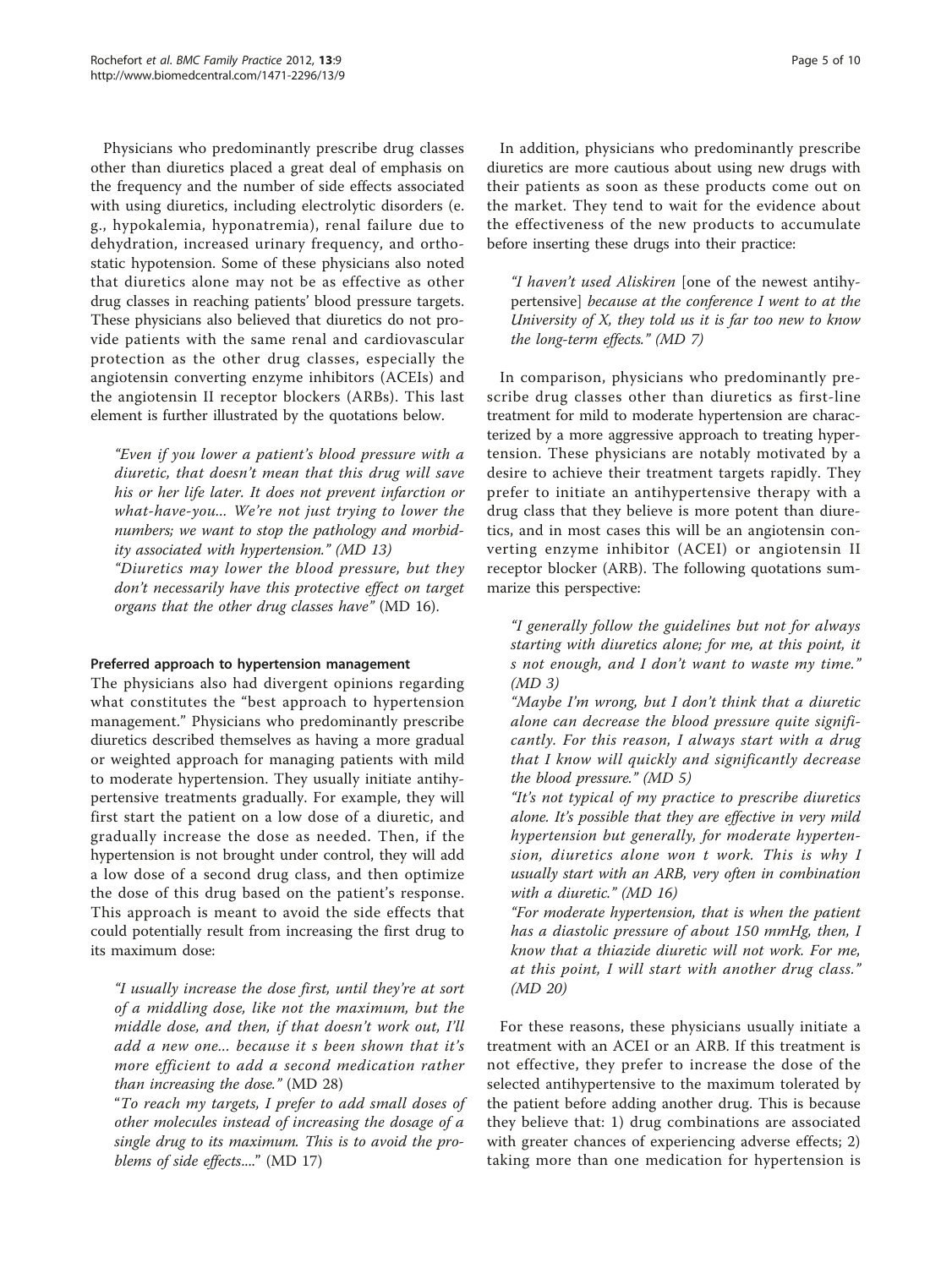Physicians who predominantly prescribe drug classes other than diuretics placed a great deal of emphasis on the frequency and the number of side effects associated with using diuretics, including electrolytic disorders (e. g., hypokalemia, hyponatremia), renal failure due to dehydration, increased urinary frequency, and orthostatic hypotension. Some of these physicians also noted that diuretics alone may not be as effective as other drug classes in reaching patients' blood pressure targets. These physicians also believed that diuretics do not provide patients with the same renal and cardiovascular protection as the other drug classes, especially the angiotensin converting enzyme inhibitors (ACEIs) and the angiotensin II receptor blockers (ARBs). This last element is further illustrated by the quotations below.

"Even if you lower a patient's blood pressure with a diuretic, that doesn't mean that this drug will save his or her life later. It does not prevent infarction or what-have-you... We're not just trying to lower the numbers; we want to stop the pathology and morbidity associated with hypertension." (MD 13)

"Diuretics may lower the blood pressure, but they don't necessarily have this protective effect on target organs that the other drug classes have" (MD 16).

# Preferred approach to hypertension management

The physicians also had divergent opinions regarding what constitutes the "best approach to hypertension management." Physicians who predominantly prescribe diuretics described themselves as having a more gradual or weighted approach for managing patients with mild to moderate hypertension. They usually initiate antihypertensive treatments gradually. For example, they will first start the patient on a low dose of a diuretic, and gradually increase the dose as needed. Then, if the hypertension is not brought under control, they will add a low dose of a second drug class, and then optimize the dose of this drug based on the patient's response. This approach is meant to avoid the side effects that could potentially result from increasing the first drug to its maximum dose:

"I usually increase the dose first, until they're at sort of a middling dose, like not the maximum, but the middle dose, and then, if that doesn't work out, I'll add a new one... because it s been shown that it's more efficient to add a second medication rather than increasing the dose." (MD 28)

"To reach my targets, I prefer to add small doses of other molecules instead of increasing the dosage of a single drug to its maximum. This is to avoid the problems of side effects...." (MD 17)

In addition, physicians who predominantly prescribe diuretics are more cautious about using new drugs with their patients as soon as these products come out on the market. They tend to wait for the evidence about the effectiveness of the new products to accumulate before inserting these drugs into their practice:

"I haven't used Aliskiren [one of the newest antihypertensive] because at the conference I went to at the University of  $X$ , they told us it is far too new to know the long-term effects." (MD 7)

In comparison, physicians who predominantly prescribe drug classes other than diuretics as first-line treatment for mild to moderate hypertension are characterized by a more aggressive approach to treating hypertension. These physicians are notably motivated by a desire to achieve their treatment targets rapidly. They prefer to initiate an antihypertensive therapy with a drug class that they believe is more potent than diuretics, and in most cases this will be an angiotensin converting enzyme inhibitor (ACEI) or angiotensin II receptor blocker (ARB). The following quotations summarize this perspective:

"I generally follow the guidelines but not for always starting with diuretics alone; for me, at this point, it s not enough, and I don't want to waste my time." (MD 3)

"Maybe I'm wrong, but I don't think that a diuretic alone can decrease the blood pressure quite significantly. For this reason, I always start with a drug that I know will quickly and significantly decrease the blood pressure." (MD 5)

"It's not typical of my practice to prescribe diuretics alone. It's possible that they are effective in very mild hypertension but generally, for moderate hypertension, diuretics alone won t work. This is why I usually start with an ARB, very often in combination with a diuretic." (MD 16)

"For moderate hypertension, that is when the patient has a diastolic pressure of about 150 mmHg, then, I know that a thiazide diuretic will not work. For me, at this point, I will start with another drug class." (MD 20)

For these reasons, these physicians usually initiate a treatment with an ACEI or an ARB. If this treatment is not effective, they prefer to increase the dose of the selected antihypertensive to the maximum tolerated by the patient before adding another drug. This is because they believe that: 1) drug combinations are associated with greater chances of experiencing adverse effects; 2) taking more than one medication for hypertension is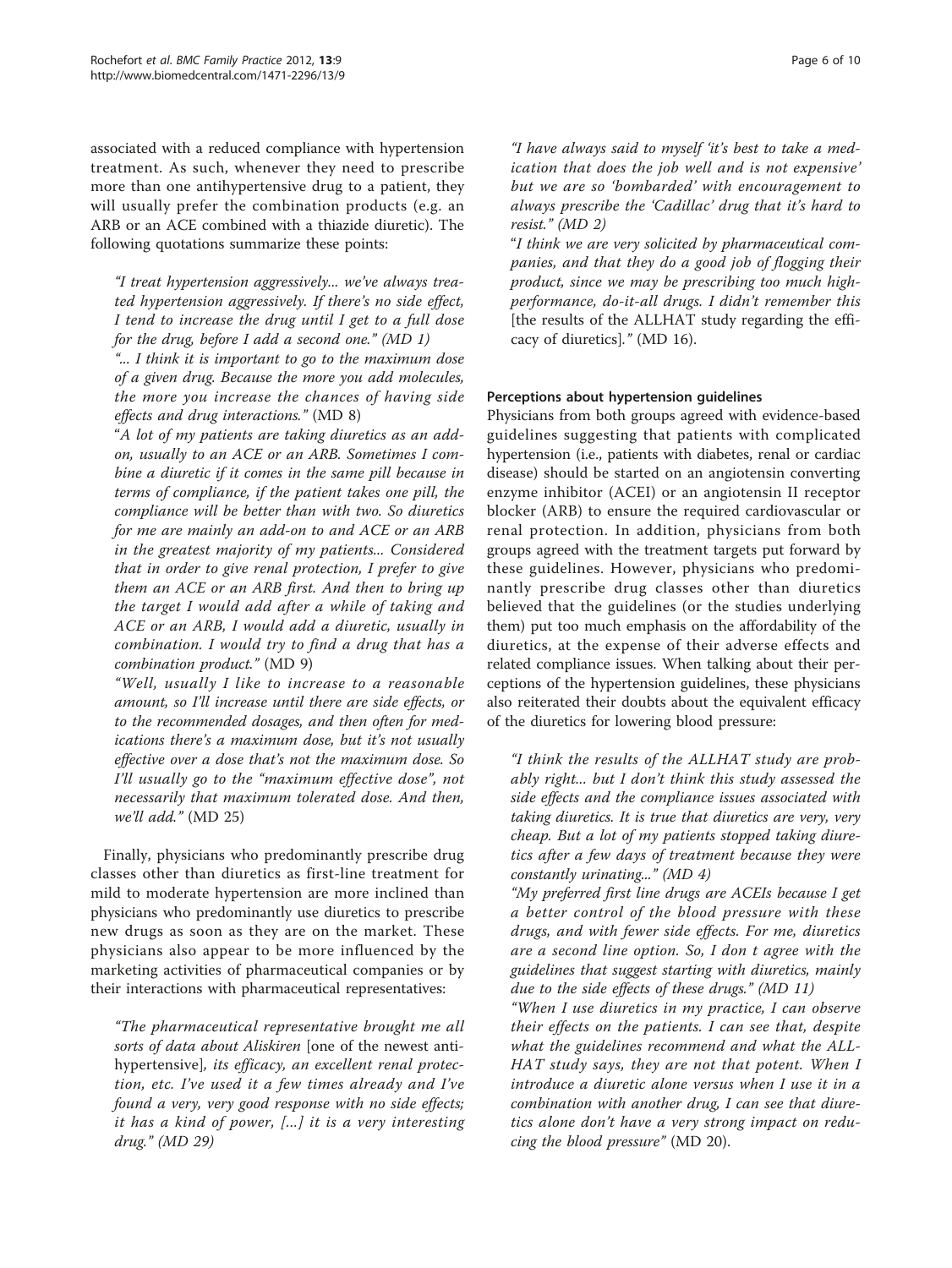associated with a reduced compliance with hypertension treatment. As such, whenever they need to prescribe more than one antihypertensive drug to a patient, they will usually prefer the combination products (e.g. an ARB or an ACE combined with a thiazide diuretic). The following quotations summarize these points:

"I treat hypertension aggressively... we've always treated hypertension aggressively. If there's no side effect, I tend to increase the drug until I get to a full dose for the drug, before I add a second one." (MD 1)

"... I think it is important to go to the maximum dose of a given drug. Because the more you add molecules, the more you increase the chances of having side effects and drug interactions." (MD 8)

"A lot of my patients are taking diuretics as an addon, usually to an ACE or an ARB. Sometimes I combine a diuretic if it comes in the same pill because in terms of compliance, if the patient takes one pill, the compliance will be better than with two. So diuretics for me are mainly an add-on to and ACE or an ARB in the greatest majority of my patients... Considered that in order to give renal protection, I prefer to give them an ACE or an ARB first. And then to bring up the target I would add after a while of taking and ACE or an ARB, I would add a diuretic, usually in combination. I would try to find a drug that has a combination product." (MD 9)

"Well, usually I like to increase to a reasonable amount, so I'll increase until there are side effects, or to the recommended dosages, and then often for medications there's a maximum dose, but it's not usually effective over a dose that's not the maximum dose. So I'll usually go to the "maximum effective dose", not necessarily that maximum tolerated dose. And then, we'll add." (MD 25)

Finally, physicians who predominantly prescribe drug classes other than diuretics as first-line treatment for mild to moderate hypertension are more inclined than physicians who predominantly use diuretics to prescribe new drugs as soon as they are on the market. These physicians also appear to be more influenced by the marketing activities of pharmaceutical companies or by their interactions with pharmaceutical representatives:

"The pharmaceutical representative brought me all sorts of data about Aliskiren [one of the newest antihypertensive], its efficacy, an excellent renal protection, etc. I've used it a few times already and I've found a very, very good response with no side effects; it has a kind of power, [...] it is a very interesting drug." (MD 29)

"I have always said to myself 'it's best to take a medication that does the job well and is not expensive' but we are so 'bombarded' with encouragement to always prescribe the 'Cadillac' drug that it's hard to resist." (MD 2)

"I think we are very solicited by pharmaceutical companies, and that they do a good job of flogging their product, since we may be prescribing too much highperformance, do-it-all drugs. I didn't remember this [the results of the ALLHAT study regarding the efficacy of diuretics]." (MD 16).

#### Perceptions about hypertension guidelines

Physicians from both groups agreed with evidence-based guidelines suggesting that patients with complicated hypertension (i.e., patients with diabetes, renal or cardiac disease) should be started on an angiotensin converting enzyme inhibitor (ACEI) or an angiotensin II receptor blocker (ARB) to ensure the required cardiovascular or renal protection. In addition, physicians from both groups agreed with the treatment targets put forward by these guidelines. However, physicians who predominantly prescribe drug classes other than diuretics believed that the guidelines (or the studies underlying them) put too much emphasis on the affordability of the diuretics, at the expense of their adverse effects and related compliance issues. When talking about their perceptions of the hypertension guidelines, these physicians also reiterated their doubts about the equivalent efficacy of the diuretics for lowering blood pressure:

"I think the results of the ALLHAT study are probably right... but I don't think this study assessed the side effects and the compliance issues associated with taking diuretics. It is true that diuretics are very, very cheap. But a lot of my patients stopped taking diuretics after a few days of treatment because they were constantly urinating..." (MD 4)

"My preferred first line drugs are ACEIs because I get a better control of the blood pressure with these drugs, and with fewer side effects. For me, diuretics are a second line option. So, I don t agree with the guidelines that suggest starting with diuretics, mainly due to the side effects of these drugs." (MD 11)

"When I use diuretics in my practice, I can observe their effects on the patients. I can see that, despite what the guidelines recommend and what the ALL-HAT study says, they are not that potent. When I introduce a diuretic alone versus when I use it in a combination with another drug, I can see that diuretics alone don't have a very strong impact on reducing the blood pressure" (MD 20).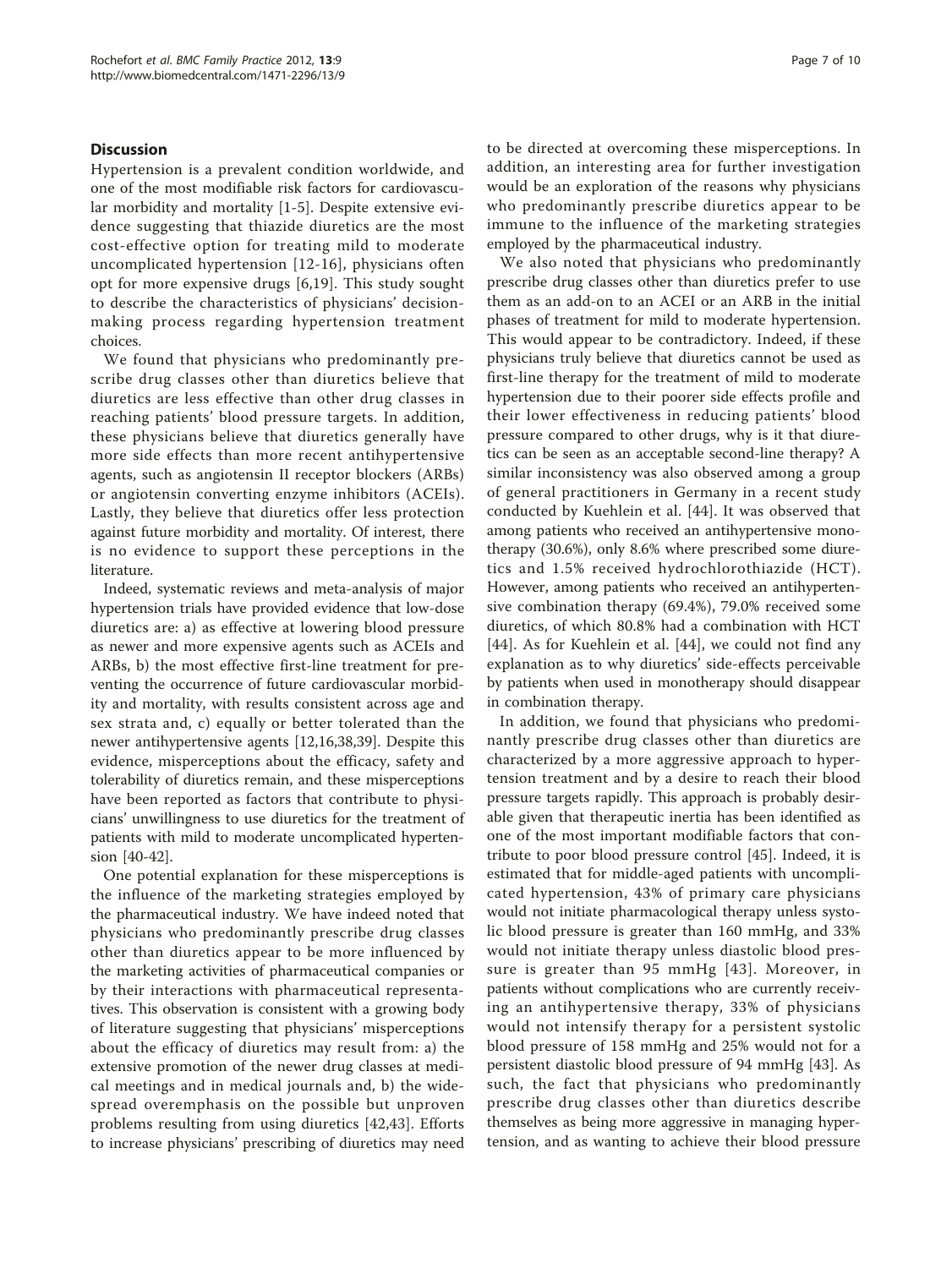# **Discussion**

Hypertension is a prevalent condition worldwide, and one of the most modifiable risk factors for cardiovascular morbidity and mortality [\[1](#page-7-0)-[5\]](#page-7-0). Despite extensive evidence suggesting that thiazide diuretics are the most cost-effective option for treating mild to moderate uncomplicated hypertension [[12](#page-8-0)-[16](#page-8-0)], physicians often opt for more expensive drugs [\[6](#page-7-0),[19\]](#page-8-0). This study sought to describe the characteristics of physicians' decisionmaking process regarding hypertension treatment choices.

We found that physicians who predominantly prescribe drug classes other than diuretics believe that diuretics are less effective than other drug classes in reaching patients' blood pressure targets. In addition, these physicians believe that diuretics generally have more side effects than more recent antihypertensive agents, such as angiotensin II receptor blockers (ARBs) or angiotensin converting enzyme inhibitors (ACEIs). Lastly, they believe that diuretics offer less protection against future morbidity and mortality. Of interest, there is no evidence to support these perceptions in the literature.

Indeed, systematic reviews and meta-analysis of major hypertension trials have provided evidence that low-dose diuretics are: a) as effective at lowering blood pressure as newer and more expensive agents such as ACEIs and ARBs, b) the most effective first-line treatment for preventing the occurrence of future cardiovascular morbidity and mortality, with results consistent across age and sex strata and, c) equally or better tolerated than the newer antihypertensive agents [\[12,16,38,39](#page-8-0)]. Despite this evidence, misperceptions about the efficacy, safety and tolerability of diuretics remain, and these misperceptions have been reported as factors that contribute to physicians' unwillingness to use diuretics for the treatment of patients with mild to moderate uncomplicated hypertension [[40-42\]](#page-8-0).

One potential explanation for these misperceptions is the influence of the marketing strategies employed by the pharmaceutical industry. We have indeed noted that physicians who predominantly prescribe drug classes other than diuretics appear to be more influenced by the marketing activities of pharmaceutical companies or by their interactions with pharmaceutical representatives. This observation is consistent with a growing body of literature suggesting that physicians' misperceptions about the efficacy of diuretics may result from: a) the extensive promotion of the newer drug classes at medical meetings and in medical journals and, b) the widespread overemphasis on the possible but unproven problems resulting from using diuretics [\[42,43\]](#page-8-0). Efforts to increase physicians' prescribing of diuretics may need to be directed at overcoming these misperceptions. In addition, an interesting area for further investigation would be an exploration of the reasons why physicians who predominantly prescribe diuretics appear to be immune to the influence of the marketing strategies employed by the pharmaceutical industry.

We also noted that physicians who predominantly prescribe drug classes other than diuretics prefer to use them as an add-on to an ACEI or an ARB in the initial phases of treatment for mild to moderate hypertension. This would appear to be contradictory. Indeed, if these physicians truly believe that diuretics cannot be used as first-line therapy for the treatment of mild to moderate hypertension due to their poorer side effects profile and their lower effectiveness in reducing patients' blood pressure compared to other drugs, why is it that diuretics can be seen as an acceptable second-line therapy? A similar inconsistency was also observed among a group of general practitioners in Germany in a recent study conducted by Kuehlein et al. [\[44\]](#page-8-0). It was observed that among patients who received an antihypertensive monotherapy (30.6%), only 8.6% where prescribed some diuretics and 1.5% received hydrochlorothiazide (HCT). However, among patients who received an antihypertensive combination therapy (69.4%), 79.0% received some diuretics, of which 80.8% had a combination with HCT [[44](#page-8-0)]. As for Kuehlein et al. [[44\]](#page-8-0), we could not find any explanation as to why diuretics' side-effects perceivable by patients when used in monotherapy should disappear in combination therapy.

In addition, we found that physicians who predominantly prescribe drug classes other than diuretics are characterized by a more aggressive approach to hypertension treatment and by a desire to reach their blood pressure targets rapidly. This approach is probably desirable given that therapeutic inertia has been identified as one of the most important modifiable factors that contribute to poor blood pressure control [[45\]](#page-8-0). Indeed, it is estimated that for middle-aged patients with uncomplicated hypertension, 43% of primary care physicians would not initiate pharmacological therapy unless systolic blood pressure is greater than 160 mmHg, and 33% would not initiate therapy unless diastolic blood pressure is greater than 95 mmHg [[43\]](#page-8-0). Moreover, in patients without complications who are currently receiving an antihypertensive therapy, 33% of physicians would not intensify therapy for a persistent systolic blood pressure of 158 mmHg and 25% would not for a persistent diastolic blood pressure of 94 mmHg [\[43](#page-8-0)]. As such, the fact that physicians who predominantly prescribe drug classes other than diuretics describe themselves as being more aggressive in managing hypertension, and as wanting to achieve their blood pressure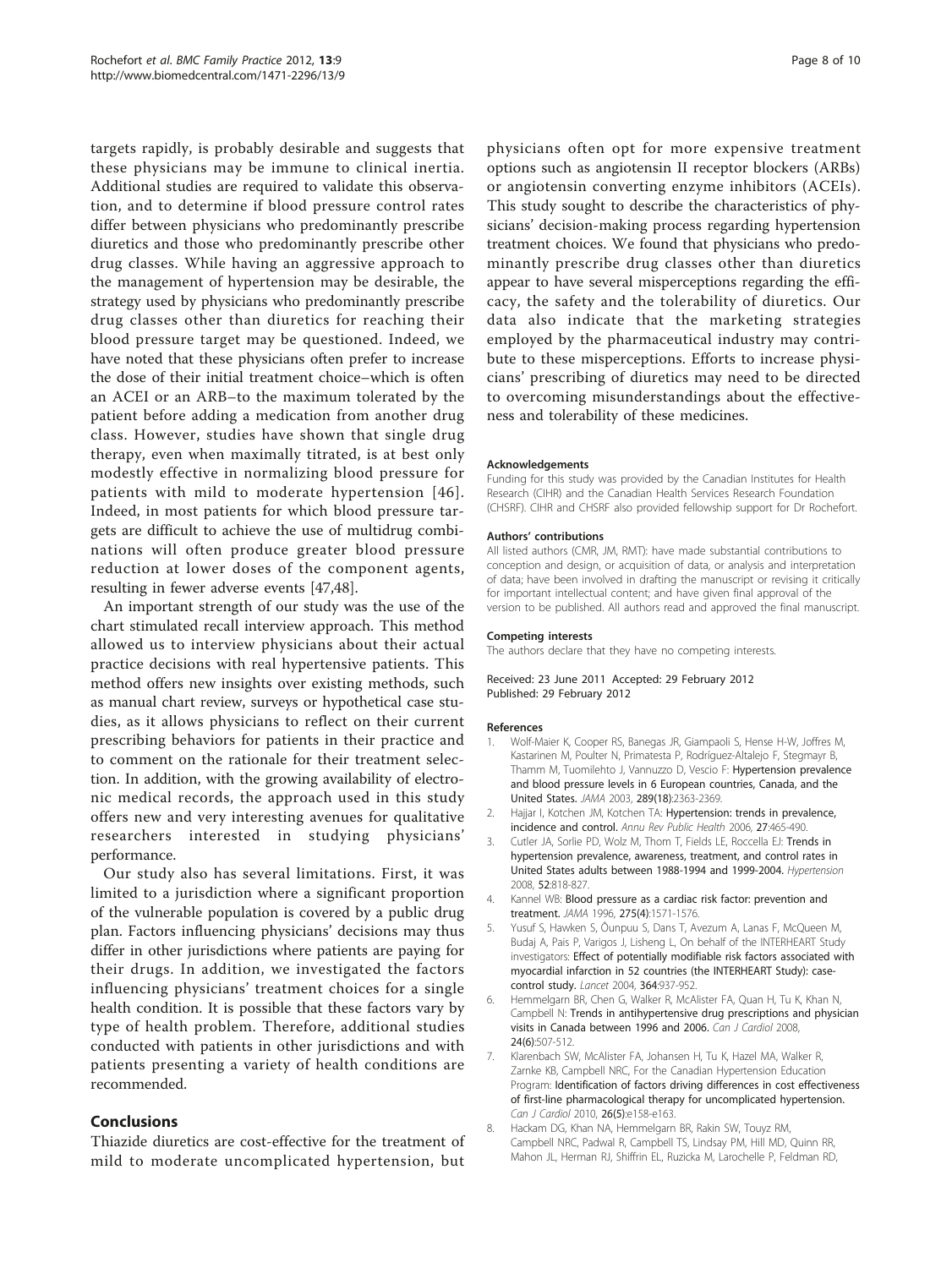<span id="page-7-0"></span>targets rapidly, is probably desirable and suggests that these physicians may be immune to clinical inertia. Additional studies are required to validate this observation, and to determine if blood pressure control rates differ between physicians who predominantly prescribe diuretics and those who predominantly prescribe other drug classes. While having an aggressive approach to the management of hypertension may be desirable, the strategy used by physicians who predominantly prescribe drug classes other than diuretics for reaching their blood pressure target may be questioned. Indeed, we have noted that these physicians often prefer to increase the dose of their initial treatment choice–which is often an ACEI or an ARB–to the maximum tolerated by the patient before adding a medication from another drug class. However, studies have shown that single drug therapy, even when maximally titrated, is at best only modestly effective in normalizing blood pressure for patients with mild to moderate hypertension [[46\]](#page-8-0). Indeed, in most patients for which blood pressure targets are difficult to achieve the use of multidrug combinations will often produce greater blood pressure reduction at lower doses of the component agents, resulting in fewer adverse events [\[47,48\]](#page-9-0).

An important strength of our study was the use of the chart stimulated recall interview approach. This method allowed us to interview physicians about their actual practice decisions with real hypertensive patients. This method offers new insights over existing methods, such as manual chart review, surveys or hypothetical case studies, as it allows physicians to reflect on their current prescribing behaviors for patients in their practice and to comment on the rationale for their treatment selection. In addition, with the growing availability of electronic medical records, the approach used in this study offers new and very interesting avenues for qualitative researchers interested in studying physicians' performance.

Our study also has several limitations. First, it was limited to a jurisdiction where a significant proportion of the vulnerable population is covered by a public drug plan. Factors influencing physicians' decisions may thus differ in other jurisdictions where patients are paying for their drugs. In addition, we investigated the factors influencing physicians' treatment choices for a single health condition. It is possible that these factors vary by type of health problem. Therefore, additional studies conducted with patients in other jurisdictions and with patients presenting a variety of health conditions are recommended.

# Conclusions

Thiazide diuretics are cost-effective for the treatment of mild to moderate uncomplicated hypertension, but

physicians often opt for more expensive treatment options such as angiotensin II receptor blockers (ARBs) or angiotensin converting enzyme inhibitors (ACEIs). This study sought to describe the characteristics of physicians' decision-making process regarding hypertension treatment choices. We found that physicians who predominantly prescribe drug classes other than diuretics appear to have several misperceptions regarding the efficacy, the safety and the tolerability of diuretics. Our data also indicate that the marketing strategies employed by the pharmaceutical industry may contribute to these misperceptions. Efforts to increase physicians' prescribing of diuretics may need to be directed to overcoming misunderstandings about the effectiveness and tolerability of these medicines.

#### Acknowledgements

Funding for this study was provided by the Canadian Institutes for Health Research (CIHR) and the Canadian Health Services Research Foundation (CHSRF). CIHR and CHSRF also provided fellowship support for Dr Rochefort.

#### Authors' contributions

All listed authors (CMR, JM, RMT): have made substantial contributions to conception and design, or acquisition of data, or analysis and interpretation of data; have been involved in drafting the manuscript or revising it critically for important intellectual content; and have given final approval of the version to be published. All authors read and approved the final manuscript.

#### Competing interests

The authors declare that they have no competing interests.

#### Received: 23 June 2011 Accepted: 29 February 2012 Published: 29 February 2012

#### References

- 1. Wolf-Maier K, Cooper RS, Banegas JR, Giampaoli S, Hense H-W, Joffres M, Kastarinen M, Poulter N, Primatesta P, Rodríguez-Altalejo F, Stegmayr B, Thamm M, Tuomilehto J, Vannuzzo D, Vescio F: [Hypertension prevalence](http://www.ncbi.nlm.nih.gov/pubmed/12746359?dopt=Abstract) [and blood pressure levels in 6 European countries, Canada, and the](http://www.ncbi.nlm.nih.gov/pubmed/12746359?dopt=Abstract) [United States.](http://www.ncbi.nlm.nih.gov/pubmed/12746359?dopt=Abstract) JAMA 2003, 289(18):2363-2369.
- 2. Hajjar I, Kotchen JM, Kotchen TA: [Hypertension: trends in prevalence,](http://www.ncbi.nlm.nih.gov/pubmed/16533126?dopt=Abstract) [incidence and control.](http://www.ncbi.nlm.nih.gov/pubmed/16533126?dopt=Abstract) Annu Rev Public Health 2006, 27:465-490.
- Cutler JA, Sorlie PD, Wolz M, Thom T, Fields LE, Roccella EJ: [Trends in](http://www.ncbi.nlm.nih.gov/pubmed/18852389?dopt=Abstract) [hypertension prevalence, awareness, treatment, and control rates in](http://www.ncbi.nlm.nih.gov/pubmed/18852389?dopt=Abstract) [United States adults between 1988-1994 and 1999-2004.](http://www.ncbi.nlm.nih.gov/pubmed/18852389?dopt=Abstract) Hypertension 2008, 52:818-827.
- 4. Kannel WB: [Blood pressure as a cardiac risk factor: prevention and](http://www.ncbi.nlm.nih.gov/pubmed/8622248?dopt=Abstract) [treatment.](http://www.ncbi.nlm.nih.gov/pubmed/8622248?dopt=Abstract) JAMA 1996, 275(4):1571-1576.
- 5. Yusuf S, Hawken S, Ôunpuu S, Dans T, Avezum A, Lanas F, McQueen M, Budaj A, Pais P, Varigos J, Lisheng L, On behalf of the INTERHEART Study investigators: [Effect of potentially modifiable risk factors associated with](http://www.ncbi.nlm.nih.gov/pubmed/15364185?dopt=Abstract) [myocardial infarction in 52 countries \(the INTERHEART Study\): case](http://www.ncbi.nlm.nih.gov/pubmed/15364185?dopt=Abstract)[control study.](http://www.ncbi.nlm.nih.gov/pubmed/15364185?dopt=Abstract) Lancet 2004, 364:937-952.
- 6. Hemmelgarn BR, Chen G, Walker R, McAlister FA, Quan H, Tu K, Khan N, Campbell N: [Trends in antihypertensive drug prescriptions and physician](http://www.ncbi.nlm.nih.gov/pubmed/18548150?dopt=Abstract) [visits in Canada between 1996 and 2006.](http://www.ncbi.nlm.nih.gov/pubmed/18548150?dopt=Abstract) Can J Cardiol 2008, 24(6):507-512.
- 7. Klarenbach SW, McAlister FA, Johansen H, Tu K, Hazel MA, Walker R, Zarnke KB, Campbell NRC, For the Canadian Hypertension Education Program: [Identification of factors driving differences in cost effectiveness](http://www.ncbi.nlm.nih.gov/pubmed/20485695?dopt=Abstract) [of first-line pharmacological therapy for uncomplicated hypertension.](http://www.ncbi.nlm.nih.gov/pubmed/20485695?dopt=Abstract) Can J Cardiol 2010, 26(5):e158-e163.
- 8. Hackam DG, Khan NA, Hemmelgarn BR, Rakin SW, Touyz RM, Campbell NRC, Padwal R, Campbell TS, Lindsay PM, Hill MD, Quinn RR, Mahon JL, Herman RJ, Shiffrin EL, Ruzicka M, Larochelle P, Feldman RD,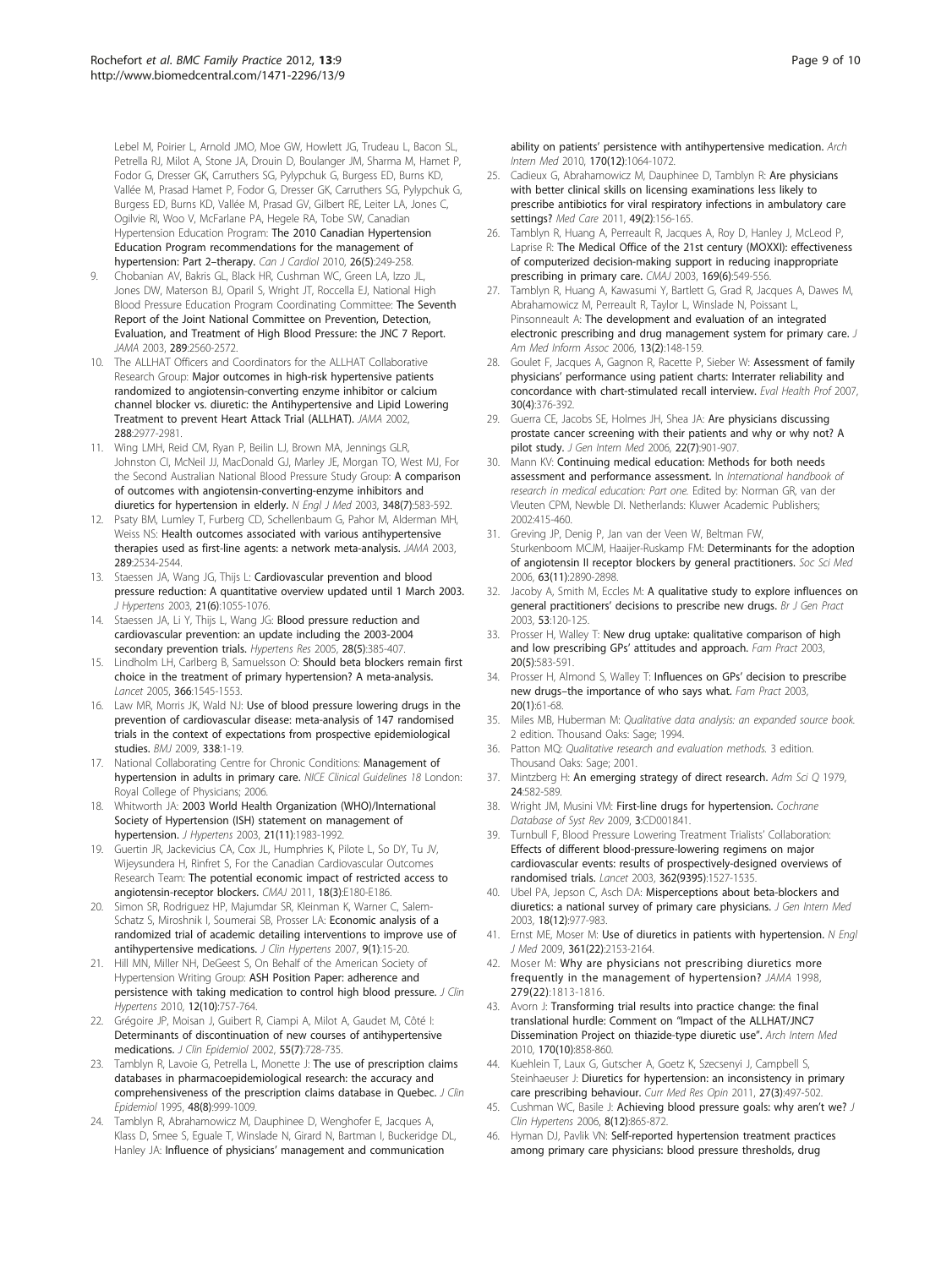<span id="page-8-0"></span>Lebel M, Poirier L, Arnold JMO, Moe GW, Howlett JG, Trudeau L, Bacon SL, Petrella RJ, Milot A, Stone JA, Drouin D, Boulanger JM, Sharma M, Hamet P, Fodor G, Dresser GK, Carruthers SG, Pylypchuk G, Burgess ED, Burns KD, Vallée M, Prasad Hamet P, Fodor G, Dresser GK, Carruthers SG, Pylypchuk G, Burgess ED, Burns KD, Vallée M, Prasad GV, Gilbert RE, Leiter LA, Jones C, Ogilvie RI, Woo V, McFarlane PA, Hegele RA, Tobe SW, Canadian Hypertension Education Program: [The 2010 Canadian Hypertension](http://www.ncbi.nlm.nih.gov/pubmed/20485689?dopt=Abstract) [Education Program recommendations for the management of](http://www.ncbi.nlm.nih.gov/pubmed/20485689?dopt=Abstract) [hypertension: Part 2](http://www.ncbi.nlm.nih.gov/pubmed/20485689?dopt=Abstract)-therapy. Can J Cardiol 2010, 26(5):249-258.

- 9. Chobanian AV, Bakris GL, Black HR, Cushman WC, Green LA, Izzo JL, Jones DW, Materson BJ, Oparil S, Wright JT, Roccella EJ, National High Blood Pressure Education Program Coordinating Committee: [The Seventh](http://www.ncbi.nlm.nih.gov/pubmed/12748199?dopt=Abstract) [Report of the Joint National Committee on Prevention, Detection,](http://www.ncbi.nlm.nih.gov/pubmed/12748199?dopt=Abstract) [Evaluation, and Treatment of High Blood Pressure: the JNC 7 Report.](http://www.ncbi.nlm.nih.gov/pubmed/12748199?dopt=Abstract) JAMA 2003, 289:2560-2572.
- 10. The ALLHAT Officers and Coordinators for the ALLHAT Collaborative Research Group: Major outcomes in high-risk hypertensive patients randomized to angiotensin-converting enzyme inhibitor or calcium channel blocker vs. diuretic: the Antihypertensive and Lipid Lowering Treatment to prevent Heart Attack Trial (ALLHAT). JAMA 2002, 288:2977-2981.
- 11. Wing LMH, Reid CM, Ryan P, Beilin LJ, Brown MA, Jennings GLR, Johnston CI, McNeil JJ, MacDonald GJ, Marley JE, Morgan TO, West MJ, For the Second Australian National Blood Pressure Study Group: [A comparison](http://www.ncbi.nlm.nih.gov/pubmed/12584366?dopt=Abstract) [of outcomes with angiotensin-converting-enzyme inhibitors and](http://www.ncbi.nlm.nih.gov/pubmed/12584366?dopt=Abstract) [diuretics for hypertension in elderly.](http://www.ncbi.nlm.nih.gov/pubmed/12584366?dopt=Abstract) N Engl J Med 2003, 348(7):583-592.
- 12. Psaty BM, Lumley T, Furberg CD, Schellenbaum G, Pahor M, Alderman MH, Weiss NS: [Health outcomes associated with various antihypertensive](http://www.ncbi.nlm.nih.gov/pubmed/12759325?dopt=Abstract) [therapies used as first-line agents: a network meta-analysis.](http://www.ncbi.nlm.nih.gov/pubmed/12759325?dopt=Abstract) JAMA 2003, 289:2534-2544.
- 13. Staessen JA, Wang JG, Thijs L: [Cardiovascular prevention and blood](http://www.ncbi.nlm.nih.gov/pubmed/12777939?dopt=Abstract) [pressure reduction: A quantitative overview updated until 1 March 2003.](http://www.ncbi.nlm.nih.gov/pubmed/12777939?dopt=Abstract) J Hypertens 2003, 21(6):1055-1076.
- 14. Staessen JA, Li Y, Thijs L, Wang JG: [Blood pressure reduction and](http://www.ncbi.nlm.nih.gov/pubmed/16156503?dopt=Abstract) [cardiovascular prevention: an update including the 2003-2004](http://www.ncbi.nlm.nih.gov/pubmed/16156503?dopt=Abstract) [secondary prevention trials.](http://www.ncbi.nlm.nih.gov/pubmed/16156503?dopt=Abstract) Hypertens Res 2005, 28(5):385-407.
- 15. Lindholm LH, Carlberg B, Samuelsson O: [Should beta blockers remain first](http://www.ncbi.nlm.nih.gov/pubmed/16257341?dopt=Abstract) [choice in the treatment of primary hypertension? A meta-analysis.](http://www.ncbi.nlm.nih.gov/pubmed/16257341?dopt=Abstract) Lancet 2005, 366:1545-1553.
- 16. Law MR, Morris JK, Wald NJ: Use of blood pressure lowering drugs in the prevention of cardiovascular disease: meta-analysis of 147 randomised trials in the context of expectations from prospective epidemiological studies. BMJ 2009, 338:1-19.
- 17. National Collaborating Centre for Chronic Conditions: Management of hypertension in adults in primary care. NICE Clinical Guidelines 18 London: Royal College of Physicians; 2006.
- 18. Whitworth JA: [2003 World Health Organization \(WHO\)/International](http://www.ncbi.nlm.nih.gov/pubmed/14597836?dopt=Abstract) [Society of Hypertension \(ISH\) statement on management of](http://www.ncbi.nlm.nih.gov/pubmed/14597836?dopt=Abstract) [hypertension.](http://www.ncbi.nlm.nih.gov/pubmed/14597836?dopt=Abstract) J Hypertens 2003, 21(11):1983-1992.
- 19. Guertin JR, Jackevicius CA, Cox JL, Humphries K, Pilote L, So DY, Tu JV, Wijeysundera H, Rinfret S, For the Canadian Cardiovascular Outcomes Research Team: The potential economic impact of restricted access to angiotensin-receptor blockers. CMAJ 2011, 18(3):E180-E186.
- 20. Simon SR, Rodriguez HP, Majumdar SR, Kleinman K, Warner C, Salem-Schatz S, Miroshnik I, Soumerai SB, Prosser LA: Economic analysis of a randomized trial of academic detailing interventions to improve use of antihypertensive medications. J Clin Hypertens 2007, 9(1):15-20.
- 21. Hill MN, Miller NH, DeGeest S, On Behalf of the American Society of Hypertension Writing Group: ASH Position Paper: adherence and persistence with taking medication to control high blood pressure. J Clin Hypertens 2010, 12(10):757-764.
- 22. Grégoire JP, Moisan J, Guibert R, Ciampi A, Milot A, Gaudet M, Côté I: [Determinants of discontinuation of new courses of antihypertensive](http://www.ncbi.nlm.nih.gov/pubmed/12160922?dopt=Abstract) [medications.](http://www.ncbi.nlm.nih.gov/pubmed/12160922?dopt=Abstract) J Clin Epidemiol 2002, 55(7):728-735.
- 23. Tamblyn R, Lavoie G, Petrella L, Monette J: [The use of prescription claims](http://www.ncbi.nlm.nih.gov/pubmed/7775999?dopt=Abstract) [databases in pharmacoepidemiological research: the accuracy and](http://www.ncbi.nlm.nih.gov/pubmed/7775999?dopt=Abstract) [comprehensiveness of the prescription claims database in Quebec.](http://www.ncbi.nlm.nih.gov/pubmed/7775999?dopt=Abstract) J Clin Epidemiol 1995, 48(8):999-1009.
- 24. Tamblyn R, Abrahamowicz M, Dauphinee D, Wenghofer E, Jacques A, Klass D, Smee S, Eguale T, Winslade N, Girard N, Bartman I, Buckeridge DL, Hanley JA: Influence of physicians' [management and communication](http://www.ncbi.nlm.nih.gov/pubmed/20585073?dopt=Abstract)

ability on patients' [persistence with antihypertensive medication.](http://www.ncbi.nlm.nih.gov/pubmed/20585073?dopt=Abstract) Arch Intern Med 2010, 170(12):1064-1072.

- 25. Cadieux G, Abrahamowicz M, Dauphinee D, Tamblyn R: [Are physicians](http://www.ncbi.nlm.nih.gov/pubmed/21206293?dopt=Abstract) [with better clinical skills on licensing examinations less likely to](http://www.ncbi.nlm.nih.gov/pubmed/21206293?dopt=Abstract) [prescribe antibiotics for viral respiratory infections in ambulatory care](http://www.ncbi.nlm.nih.gov/pubmed/21206293?dopt=Abstract) [settings?](http://www.ncbi.nlm.nih.gov/pubmed/21206293?dopt=Abstract) Med Care 2011, 49(2):156-165.
- 26. Tamblyn R, Huang A, Perreault R, Jacques A, Roy D, Hanley J, McLeod P, Laprise R: [The Medical Office of the 21st century \(MOXXI\): effectiveness](http://www.ncbi.nlm.nih.gov/pubmed/12975221?dopt=Abstract) [of computerized decision-making support in reducing inappropriate](http://www.ncbi.nlm.nih.gov/pubmed/12975221?dopt=Abstract) [prescribing in primary care.](http://www.ncbi.nlm.nih.gov/pubmed/12975221?dopt=Abstract) CMAJ 2003, 169(6):549-556.
- 27. Tamblyn R, Huang A, Kawasumi Y, Bartlett G, Grad R, Jacques A, Dawes M, Abrahamowicz M, Perreault R, Taylor L, Winslade N, Poissant L, Pinsonneault A: [The development and evaluation of an integrated](http://www.ncbi.nlm.nih.gov/pubmed/16357357?dopt=Abstract) [electronic prescribing and drug management system for primary care.](http://www.ncbi.nlm.nih.gov/pubmed/16357357?dopt=Abstract) J Am Med Inform Assoc 2006, 13(2):148-159.
- 28. Goulet F, Jacques A, Gagnon R, Racette P, Sieber W: [Assessment of family](http://www.ncbi.nlm.nih.gov/pubmed/17986671?dopt=Abstract) physicians' [performance using patient charts: Interrater reliability and](http://www.ncbi.nlm.nih.gov/pubmed/17986671?dopt=Abstract) [concordance with chart-stimulated recall interview.](http://www.ncbi.nlm.nih.gov/pubmed/17986671?dopt=Abstract) Eval Health Prof 2007, 30(4):376-392.
- 29. Guerra CE, Jacobs SE, Holmes JH, Shea JA: Are physicians discussing prostate cancer screening with their patients and why or why not? A pilot study. J Gen Intern Med 2006, 22(7):901-907.
- 30. Mann KV: Continuing medical education: Methods for both needs assessment and performance assessment. In International handbook of research in medical education: Part one. Edited by: Norman GR, van der Vleuten CPM, Newble DI. Netherlands: Kluwer Academic Publishers; 2002:415-460.
- 31. Greving JP, Denig P, Jan van der Veen W, Beltman FW, Sturkenboom MCJM, Haaijer-Ruskamp FM: [Determinants for the adoption](http://www.ncbi.nlm.nih.gov/pubmed/16959390?dopt=Abstract) [of angiotensin II receptor blockers by general practitioners.](http://www.ncbi.nlm.nih.gov/pubmed/16959390?dopt=Abstract) Soc Sci Med 2006, 63(11):2890-2898.
- 32. Jacoby A, Smith M, Eccles M: [A qualitative study to explore influences on](http://www.ncbi.nlm.nih.gov/pubmed/12817357?dopt=Abstract) general practitioners' [decisions to prescribe new drugs.](http://www.ncbi.nlm.nih.gov/pubmed/12817357?dopt=Abstract) Br J Gen Pract 2003, 53:120-125.
- 33. Prosser H, Walley T: [New drug uptake: qualitative comparison of high](http://www.ncbi.nlm.nih.gov/pubmed/14507803?dopt=Abstract) [and low prescribing GPs](http://www.ncbi.nlm.nih.gov/pubmed/14507803?dopt=Abstract)' attitudes and approach. Fam Pract 2003, 20(5):583-591.
- 34. Prosser H, Almond S, Walley T: Influences on GPs' [decision to prescribe](http://www.ncbi.nlm.nih.gov/pubmed/12509373?dopt=Abstract) new drugs-[the importance of who says what.](http://www.ncbi.nlm.nih.gov/pubmed/12509373?dopt=Abstract) Fam Pract 2003, 20(1):61-68.
- 35. Miles MB, Huberman M: Qualitative data analysis: an expanded source book. 2 edition. Thousand Oaks: Sage; 1994.
- 36. Patton MQ: Qualitative research and evaluation methods. 3 edition. Thousand Oaks: Sage; 2001.
- 37. Mintzberg H: An emerging strategy of direct research. Adm Sci Q 1979, 24:582-589.
- 38. Wright JM, Musini VM: First-line drugs for hypertension. Cochrane Database of Syst Rev 2009, 3:CD001841.
- 39. Turnbull F, Blood Pressure Lowering Treatment Trialists' Collaboration: [Effects of different blood-pressure-lowering regimens on major](http://www.ncbi.nlm.nih.gov/pubmed/14615107?dopt=Abstract) [cardiovascular events: results of prospectively-designed overviews of](http://www.ncbi.nlm.nih.gov/pubmed/14615107?dopt=Abstract) [randomised trials.](http://www.ncbi.nlm.nih.gov/pubmed/14615107?dopt=Abstract) Lancet 2003, 362(9395):1527-1535.
- 40. Ubel PA, Jepson C, Asch DA: [Misperceptions about beta-blockers and](http://www.ncbi.nlm.nih.gov/pubmed/14687255?dopt=Abstract) [diuretics: a national survey of primary care physicians.](http://www.ncbi.nlm.nih.gov/pubmed/14687255?dopt=Abstract) J Gen Intern Med 2003, 18(12):977-983.
- 41. Ernst ME, Moser M: [Use of diuretics in patients with hypertension.](http://www.ncbi.nlm.nih.gov/pubmed/19940300?dopt=Abstract) N Engl J Med 2009, 361(22):2153-2164.
- 42. Moser M: [Why are physicians not prescribing diuretics more](http://www.ncbi.nlm.nih.gov/pubmed/9628713?dopt=Abstract) [frequently in the management of hypertension?](http://www.ncbi.nlm.nih.gov/pubmed/9628713?dopt=Abstract) JAMA 1998, 279(22):1813-1816.
- 43. Avorn J: [Transforming trial results into practice change: the final](http://www.ncbi.nlm.nih.gov/pubmed/20498412?dopt=Abstract) [translational hurdle: Comment on](http://www.ncbi.nlm.nih.gov/pubmed/20498412?dopt=Abstract) "Impact of the ALLHAT/JNC7 [Dissemination Project on thiazide-type diuretic use](http://www.ncbi.nlm.nih.gov/pubmed/20498412?dopt=Abstract)". Arch Intern Med 2010, 170(10):858-860.
- 44. Kuehlein T, Laux G, Gutscher A, Goetz K, Szecsenyi J, Campbell S, Steinhaeuser J: [Diuretics for hypertension: an inconsistency in primary](http://www.ncbi.nlm.nih.gov/pubmed/21208153?dopt=Abstract) [care prescribing behaviour.](http://www.ncbi.nlm.nih.gov/pubmed/21208153?dopt=Abstract) Curr Med Res Opin 2011, 27(3):497-502.
- 45. Cushman WC, Basile J: Achieving blood pressure goals: why aren't we? J Clin Hypertens 2006, 8(12):865-872.
- 46. Hyman DJ, Pavlik VN: [Self-reported hypertension treatment practices](http://www.ncbi.nlm.nih.gov/pubmed/10927724?dopt=Abstract) [among primary care physicians: blood pressure thresholds, drug](http://www.ncbi.nlm.nih.gov/pubmed/10927724?dopt=Abstract)